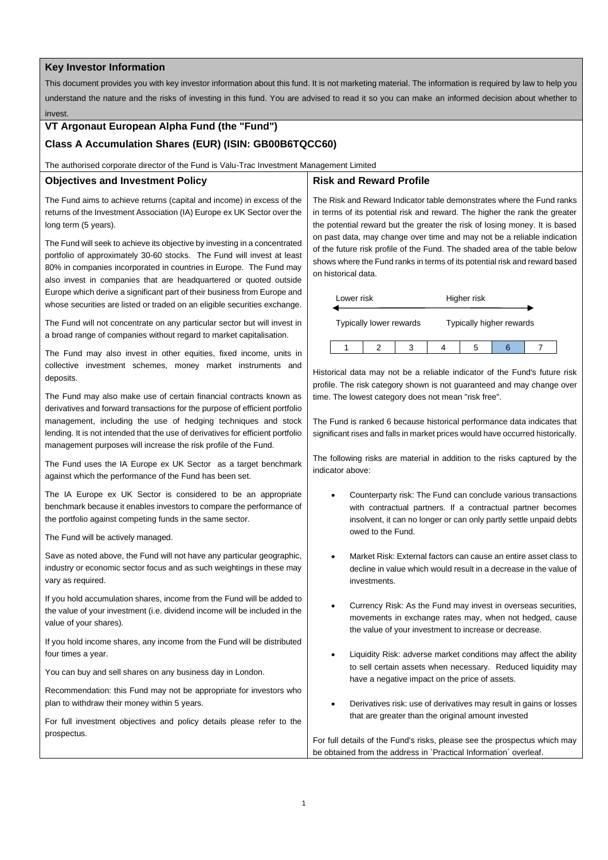#### **Key Investor Information**

This document provides you with key investor information about this fund. It is not marketing material. The information is required by law to help you understand the nature and the risks of investing in this fund. You are advised to read it so you can make an informed decision about whether to invest.

# **VT Argonaut European Alpha Fund (the "Fund")**

## **Class A Accumulation Shares (EUR) (ISIN: GB00B6TQCC60)**

The authorised corporate director of the Fund is Valu-Trac Investment Management Limited

#### **Objectives and Investment Policy**

### The Fund aims to achieve returns (capital and income) in excess of the returns of the Investment Association (IA) Europe ex UK Sector over the long term (5 years).

The Fund will seek to achieve its objective by investing in a concentrated portfolio of approximately 30-60 stocks. The Fund will invest at least 80% in companies incorporated in countries in Europe. The Fund may also invest in companies that are headquartered or quoted outside Europe which derive a significant part of their business from Europe and whose securities are listed or traded on an eligible securities exchange.

The Fund will not concentrate on any particular sector but will invest in a broad range of companies without regard to market capitalisation.

The Fund may also invest in other equities, fixed income, units in collective investment schemes, money market instruments and deposits.

The Fund may also make use of certain financial contracts known as derivatives and forward transactions for the purpose of efficient portfolio management, including the use of hedging techniques and stock lending. It is not intended that the use of derivatives for efficient portfolio management purposes will increase the risk profile of the Fund.

The Fund uses the IA Europe ex UK Sector as a target benchmark against which the performance of the Fund has been set.

The IA Europe ex UK Sector is considered to be an appropriate benchmark because it enables investors to compare the performance of the portfolio against competing funds in the same sector.

The Fund will be actively managed.

Save as noted above, the Fund will not have any particular geographic, industry or economic sector focus and as such weightings in these may vary as required.

If you hold accumulation shares, income from the Fund will be added to the value of your investment (i.e. dividend income will be included in the value of your shares).

If you hold income shares, any income from the Fund will be distributed four times a year.

You can buy and sell shares on any business day in London.

Recommendation: this Fund may not be appropriate for investors who plan to withdraw their money within 5 years.

For full investment objectives and policy details please refer to the prospectus.

# **Risk and Reward Profile**

The Risk and Reward Indicator table demonstrates where the Fund ranks in terms of its potential risk and reward. The higher the rank the greater the potential reward but the greater the risk of losing money. It is based on past data, may change over time and may not be a reliable indication of the future risk profile of the Fund. The shaded area of the table below shows where the Fund ranks in terms of its potential risk and reward based on historical data.

| Lower risk              |  |  | Higher risk              |  |  |  |
|-------------------------|--|--|--------------------------|--|--|--|
| Typically lower rewards |  |  | Typically higher rewards |  |  |  |
|                         |  |  |                          |  |  |  |

Historical data may not be a reliable indicator of the Fund's future risk profile. The risk category shown is not guaranteed and may change over time. The lowest category does not mean "risk free".

The Fund is ranked 6 because historical performance data indicates that significant rises and falls in market prices would have occurred historically.

The following risks are material in addition to the risks captured by the indicator above:

- Counterparty risk: The Fund can conclude various transactions with contractual partners. If a contractual partner becomes insolvent, it can no longer or can only partly settle unpaid debts owed to the Fund.
- Market Risk: External factors can cause an entire asset class to decline in value which would result in a decrease in the value of investments.
- Currency Risk: As the Fund may invest in overseas securities, movements in exchange rates may, when not hedged, cause the value of your investment to increase or decrease.
- Liquidity Risk: adverse market conditions may affect the ability to sell certain assets when necessary. Reduced liquidity may have a negative impact on the price of assets.
- Derivatives risk: use of derivatives may result in gains or losses that are greater than the original amount invested

For full details of the Fund's risks, please see the prospectus which may be obtained from the address in `Practical Information` overleaf.